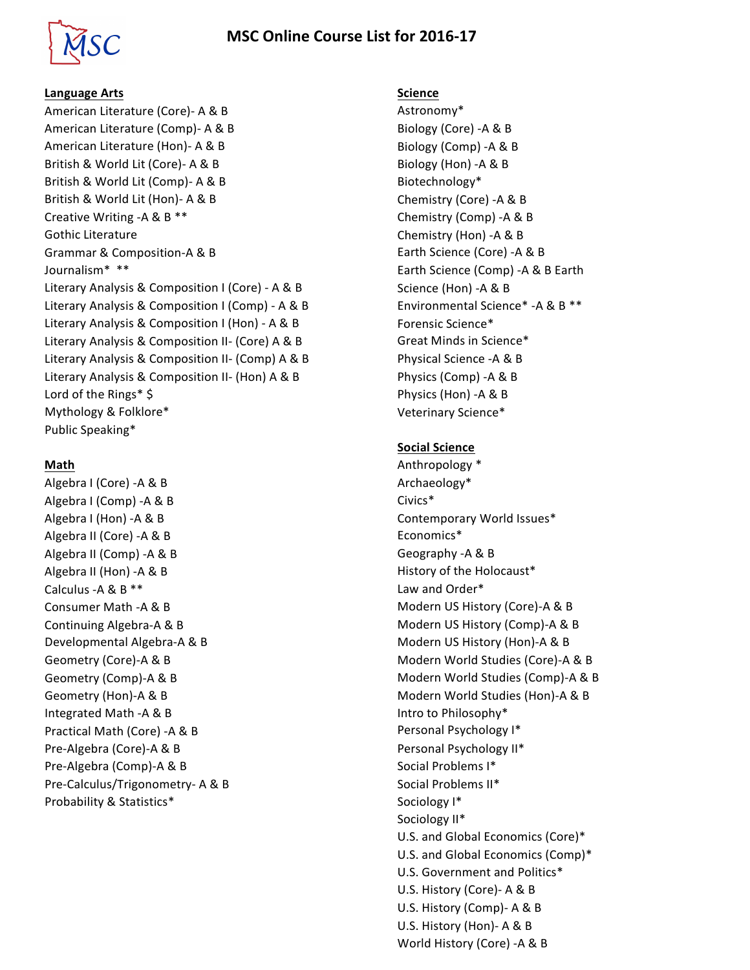# **MSC Online Course List for 2016-17**



### **Language Arts**

American Literature (Core)- A & B American Literature (Comp) - A & B American Literature (Hon)- A & B British & World Lit (Core)- A & B British & World Lit (Comp)- A & B British & World Lit (Hon)- A & B Creative Writing -A & B  $**$ Gothic Literature Grammar & Composition-A & B Journalism\* \*\* Literary Analysis & Composition I (Core) - A & B Literary Analysis & Composition I (Comp) - A & B Literary Analysis & Composition I (Hon) - A & B Literary Analysis & Composition II- (Core) A & B Literary Analysis & Composition II- (Comp) A & B Literary Analysis & Composition II- (Hon) A & B Lord of the Rings\* \$ Mythology & Folklore\* Public Speaking\*

### **Math**

Algebra I (Core) -A & B Algebra I (Comp) -A & B Algebra I (Hon) - A & B Algebra II (Core) -A & B Algebra II (Comp) -A & B Algebra II (Hon) -A & B Calculus -A & B  $**$ Consumer Math -A & B Continuing Algebra-A & B Developmental Algebra-A & B Geometry (Core)-A & B Geometry (Comp)-A & B Geometry (Hon)-A & B Integrated Math -A & B Practical Math (Core) -A & B Pre-Algebra (Core)-A & B Pre-Algebra (Comp)-A & B Pre-Calculus/Trigonometry- A & B Probability & Statistics\*

#### **Science**

Astronomy\* Biology (Core) -A & B Biology (Comp) -A & B Biology (Hon) -A & B Biotechnology\* Chemistry (Core) -A & B Chemistry (Comp) -A & B Chemistry (Hon) -A & B Earth Science (Core) -A & B Earth Science (Comp) - A & B Earth Science (Hon) -A & B Environmental Science\* -A & B \*\* Forensic Science\* Great Minds in Science\* Physical Science -A & B Physics (Comp) -A & B Physics (Hon) -A & B Veterinary Science\*

#### **Social Science**

Anthropology \* Archaeology\* Civics\* Contemporary World Issues\* Economics\* Geography -A & B History of the Holocaust\* Law and Order\* Modern US History (Core)-A & B Modern US History (Comp)-A & B Modern US History (Hon)-A & B Modern World Studies (Core)-A & B Modern World Studies (Comp)-A & B Modern World Studies (Hon)-A & B Intro to Philosophy\* Personal Psychology I\* Personal Psychology II\* Social Problems I\* Social Problems II\* Sociology I\* Sociology II\* U.S. and Global Economics (Core)\* U.S. and Global Economics (Comp)\* U.S. Government and Politics\* U.S. History (Core)- A & B U.S. History (Comp)- A & B U.S. History (Hon)- A & B World History (Core) -A & B